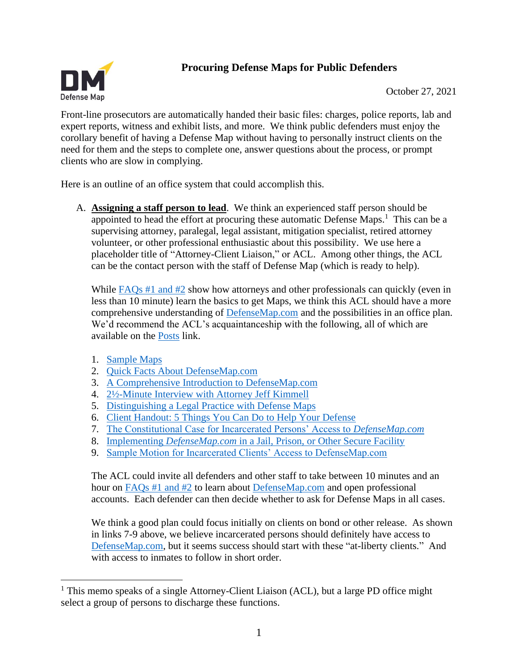# **Procuring Defense Maps for Public Defenders**



October 27, 2021

Front-line prosecutors are automatically handed their basic files: charges, police reports, lab and expert reports, witness and exhibit lists, and more. We think public defenders must enjoy the corollary benefit of having a Defense Map without having to personally instruct clients on the need for them and the steps to complete one, answer questions about the process, or prompt clients who are slow in complying.

Here is an outline of an office system that could accomplish this.

A. **Assigning a staff person to lead**. We think an experienced staff person should be appointed to head the effort at procuring these automatic Defense Maps. $<sup>1</sup>$  This can be a</sup> supervising attorney, paralegal, legal assistant, mitigation specialist, retired attorney volunteer, or other professional enthusiastic about this possibility. We use here a placeholder title of "Attorney-Client Liaison," or ACL. Among other things, the ACL can be the contact person with the staff of Defense Map (which is ready to help).

While [FAQs #1 and #2](https://defensemap.com/faqs) show how attorneys and other professionals can quickly (even in less than 10 minute) learn the basics to get Maps, we think this ACL should have a more comprehensive understanding of [DefenseMap.com](http://www.defensemap.com/) and the possibilities in an office plan. We'd recommend the ACL's acquaintanceship with the following, all of which are available on the [Posts](https://www.defensemap.com/posts) link.

- 1. [Sample Maps](https://defensemap.com/samplereports)
- 2. [Quick Facts About DefenseMap.com](https://defensemap.com/DM_Files/English/DM_Quick_Facts_about_DefenseMap)
- 3. [A Comprehensive Introduction to DefenseMap.com](https://defensemap.com/DM_Files/English/A_comprehensive_introduction_to_defensemap)
- 4. [2½-Minute Interview with Attorney Jeff Kimmell](https://vimeo.com/381958311)
- 5. [Distinguishing a Legal Practice with Defense Maps](https://defensemap.com/DM_Files/English/DM_Distinguishing_a_Legal_Practice_with_Defense_Maps)
- 6. [Client Handout: 5 Things You Can Do to Help Your Defense](https://defensemap.com/DM_Files/English/DM_5_Things_You_Can_Do_to_Help_Your_Defense)
- 7. [The Constitutional Case for Incarcerated Persons' Access to](https://defensemap.com/DM_Files/English/The_Constitutional_Case_for_Defense_Maps) *DefenseMap.com*
- 8. Implementing *DefenseMap.com* in a Jail, Prison, [or Other Secure Facility](https://defensemap.com/DM_Files/English/DM_Jail_implementation_of_Defense_Maps)
- 9. [Sample Motion for Incarcerated Clients' Access to DefenseMap.com](https://defensemap.com/DM_Files/English/DM_Sample_Motion_for_Inmate_Access_to_DefenseMap)

The ACL could invite all defenders and other staff to take between 10 minutes and an hour on [FAQs #1 and #2](https://defensemap.com/faqs) to learn about [DefenseMap.com](http://www.defensemap.com/) and open professional accounts. Each defender can then decide whether to ask for Defense Maps in all cases.

We think a good plan could focus initially on clients on bond or other release. As shown in links 7-9 above, we believe incarcerated persons should definitely have access to [DefenseMap.com,](http://www.defensemap.com/) but it seems success should start with these "at-liberty clients." And with access to inmates to follow in short order.

<sup>&</sup>lt;sup>1</sup> This memo speaks of a single Attorney-Client Liaison (ACL), but a large PD office might select a group of persons to discharge these functions.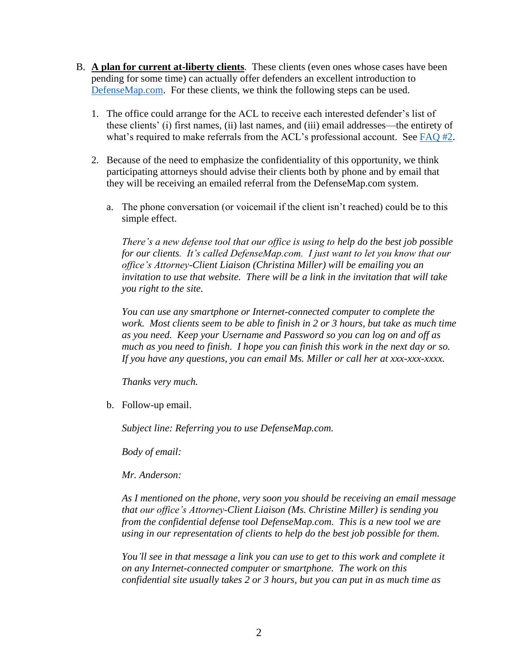- B. **A plan for current at-liberty clients**. These clients (even ones whose cases have been pending for some time) can actually offer defenders an excellent introduction to [DefenseMap.com.](http://www.defensemap.com/) For these clients, we think the following steps can be used.
	- 1. The office could arrange for the ACL to receive each interested defender's list of these clients' (i) first names, (ii) last names, and (iii) email addresses—the entirety of what's required to make referrals from the ACL's professional account. See [FAQ #2.](https://defensemap.com/faqs)
	- 2. Because of the need to emphasize the confidentiality of this opportunity, we think participating attorneys should advise their clients both by phone and by email that they will be receiving an emailed referral from the DefenseMap.com system.
		- a. The phone conversation (or voicemail if the client isn't reached) could be to this simple effect.

*There's a new defense tool that our office is using to help do the best job possible for our clients. It's called DefenseMap.com. I just want to let you know that our office's Attorney-Client Liaison (Christina Miller) will be emailing you an invitation to use that website. There will be a link in the invitation that will take you right to the site.* 

*You can use any smartphone or Internet-connected computer to complete the work. Most clients seem to be able to finish in 2 or 3 hours, but take as much time as you need. Keep your Username and Password so you can log on and off as much as you need to finish. I hope you can finish this work in the next day or so. If you have any questions, you can email Ms. Miller or call her at xxx-xxx-xxxx.* 

*Thanks very much.* 

b. Follow-up email.

*Subject line: Referring you to use DefenseMap.com.* 

*Body of email:* 

*Mr. Anderson:*

*As I mentioned on the phone, very soon you should be receiving an email message that our office's Attorney-Client Liaison (Ms. Christine Miller) is sending you from the confidential defense tool DefenseMap.com. This is a new tool we are using in our representation of clients to help do the best job possible for them.* 

*You'll see in that message a link you can use to get to this work and complete it on any Internet-connected computer or smartphone. The work on this confidential site usually takes 2 or 3 hours, but you can put in as much time as*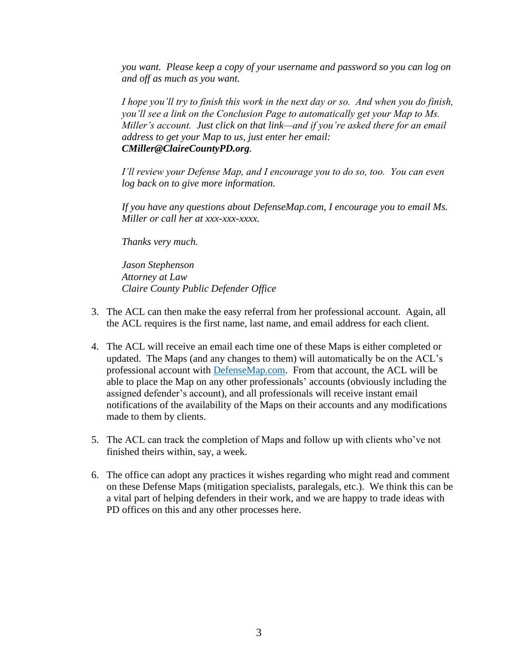*you want. Please keep a copy of your username and password so you can log on and off as much as you want.* 

*I hope you'll try to finish this work in the next day or so. And when you do finish, you'll see a link on the Conclusion Page to automatically get your Map to Ms. Miller's account. Just click on that link—and if you're asked there for an email address to get your Map to us, just enter her email: CMiller@ClaireCountyPD.org.* 

*I'll review your Defense Map, and I encourage you to do so, too. You can even log back on to give more information.* 

*If you have any questions about DefenseMap.com, I encourage you to email Ms. Miller or call her at xxx-xxx-xxxx.* 

*Thanks very much.* 

*Jason Stephenson Attorney at Law Claire County Public Defender Office*

- 3. The ACL can then make the easy referral from her professional account. Again, all the ACL requires is the first name, last name, and email address for each client.
- 4. The ACL will receive an email each time one of these Maps is either completed or updated. The Maps (and any changes to them) will automatically be on the ACL's professional account with [DefenseMap.com.](http://www.defensemap.com/) From that account, the ACL will be able to place the Map on any other professionals' accounts (obviously including the assigned defender's account), and all professionals will receive instant email notifications of the availability of the Maps on their accounts and any modifications made to them by clients.
- 5. The ACL can track the completion of Maps and follow up with clients who've not finished theirs within, say, a week.
- 6. The office can adopt any practices it wishes regarding who might read and comment on these Defense Maps (mitigation specialists, paralegals, etc.). We think this can be a vital part of helping defenders in their work, and we are happy to trade ideas with PD offices on this and any other processes here.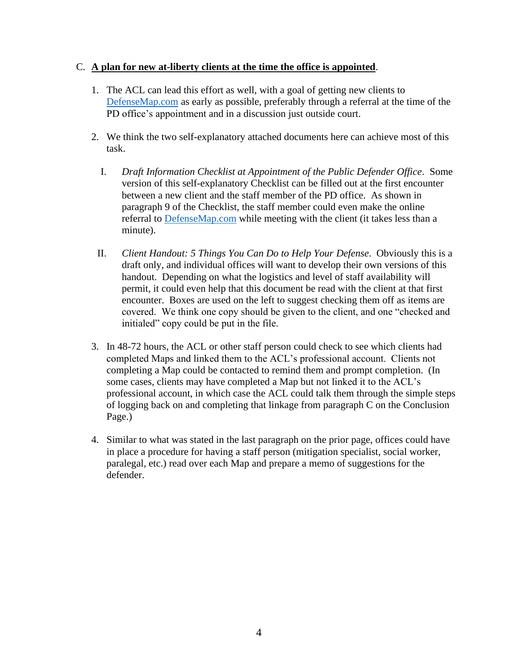#### C. **A plan for new at-liberty clients at the time the office is appointed**.

- 1. The ACL can lead this effort as well, with a goal of getting new clients to [DefenseMap.com](http://www.defensemap.com/) as early as possible, preferably through a referral at the time of the PD office's appointment and in a discussion just outside court.
- 2. We think the two self-explanatory attached documents here can achieve most of this task.
	- I. *Draft Information Checklist at Appointment of the Public Defender Office*. Some version of this self-explanatory Checklist can be filled out at the first encounter between a new client and the staff member of the PD office. As shown in paragraph 9 of the Checklist, the staff member could even make the online referral to [DefenseMap.com](http://www.defensemap.com/) while meeting with the client (it takes less than a minute).
- II. *Client Handout: 5 Things You Can Do to Help Your Defense*. Obviously this is a draft only, and individual offices will want to develop their own versions of this handout. Depending on what the logistics and level of staff availability will permit, it could even help that this document be read with the client at that first encounter. Boxes are used on the left to suggest checking them off as items are covered. We think one copy should be given to the client, and one "checked and initialed" copy could be put in the file.
- 3. In 48-72 hours, the ACL or other staff person could check to see which clients had completed Maps and linked them to the ACL's professional account. Clients not completing a Map could be contacted to remind them and prompt completion. (In some cases, clients may have completed a Map but not linked it to the ACL's professional account, in which case the ACL could talk them through the simple steps of logging back on and completing that linkage from paragraph C on the Conclusion Page.)
- 4. Similar to what was stated in the last paragraph on the prior page, offices could have in place a procedure for having a staff person (mitigation specialist, social worker, paralegal, etc.) read over each Map and prepare a memo of suggestions for the defender.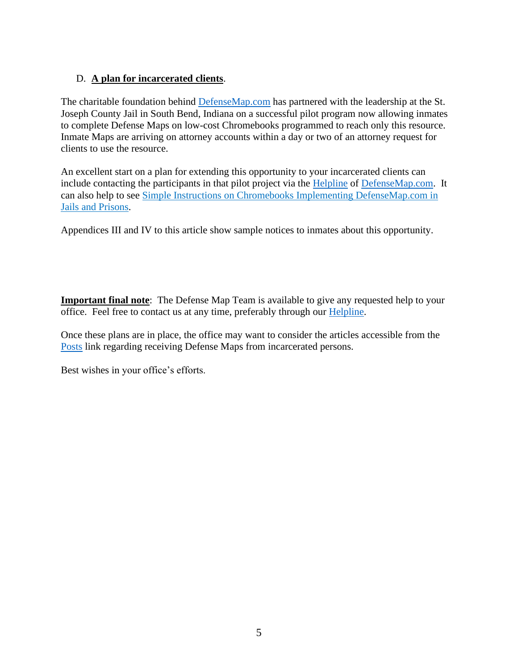#### D. **A plan for incarcerated clients**.

The charitable foundation behind [DefenseMap.com](http://www.defensemap.com/) has partnered with the leadership at the St. Joseph County Jail in South Bend, Indiana on a successful pilot program now allowing inmates to complete Defense Maps on low-cost Chromebooks programmed to reach only this resource. Inmate Maps are arriving on attorney accounts within a day or two of an attorney request for clients to use the resource.

An excellent start on a plan for extending this opportunity to your incarcerated clients can include contacting the participants in that pilot project via the [Helpline](https://defensemap.com/#helpline) of [DefenseMap.com.](http://www.defensemap.com/) It can also help to see Simple Instructions on Chromebooks Implementing DefenseMap.com in Jails and Prisons.

Appendices III and IV to this article show sample notices to inmates about this opportunity.

**Important final note**: The Defense Map Team is available to give any requested help to your office. Feel free to contact us at any time, preferably through our [Helpline.](https://defensemap.com/#helpline)

Once these plans are in place, the office may want to consider the articles accessible from the [Posts](https://www.defensemap.com/posts) link regarding receiving Defense Maps from incarcerated persons.

Best wishes in your office's efforts.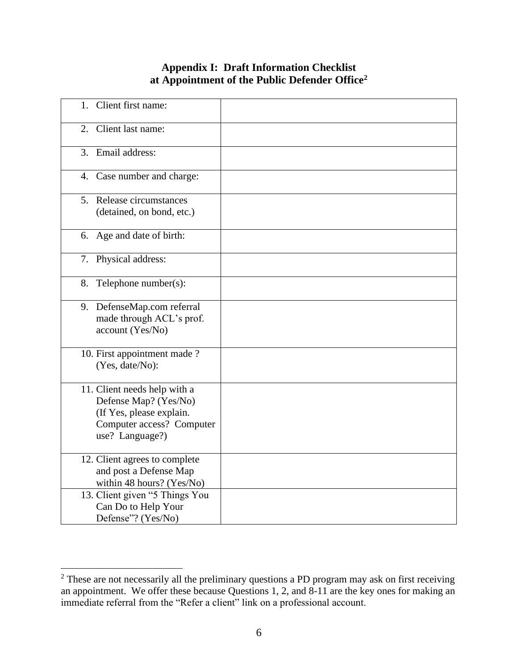# **Appendix I: Draft Information Checklist at Appointment of the Public Defender Office<sup>2</sup>**

| Client first name:<br>$1_{-}$                                                                                                     |  |
|-----------------------------------------------------------------------------------------------------------------------------------|--|
| Client last name:<br>2.                                                                                                           |  |
| Email address:<br>3.                                                                                                              |  |
| 4. Case number and charge:                                                                                                        |  |
| 5. Release circumstances<br>(detained, on bond, etc.)                                                                             |  |
| 6. Age and date of birth:                                                                                                         |  |
| 7. Physical address:                                                                                                              |  |
| 8. Telephone number(s):                                                                                                           |  |
| 9. DefenseMap.com referral<br>made through ACL's prof.<br>account (Yes/No)                                                        |  |
| 10. First appointment made?<br>(Yes, date/No):                                                                                    |  |
| 11. Client needs help with a<br>Defense Map? (Yes/No)<br>(If Yes, please explain.<br>Computer access? Computer<br>use? Language?) |  |
| 12. Client agrees to complete<br>and post a Defense Map<br>within 48 hours? (Yes/No)                                              |  |
| 13. Client given "5 Things You<br>Can Do to Help Your<br>Defense"? (Yes/No)                                                       |  |

<sup>&</sup>lt;sup>2</sup> These are not necessarily all the preliminary questions a PD program may ask on first receiving an appointment. We offer these because Questions 1, 2, and 8-11 are the key ones for making an immediate referral from the "Refer a client" link on a professional account.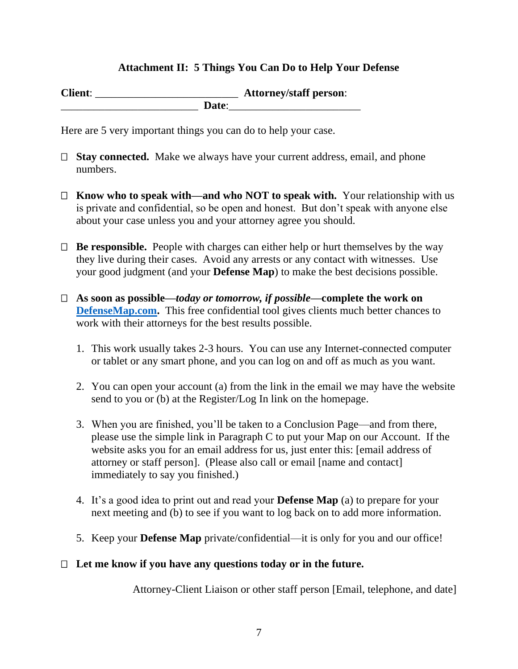### **Attachment II: 5 Things You Can Do to Help Your Defense**

**Client**: \_\_\_\_\_\_\_\_\_\_\_\_\_\_\_\_\_\_\_\_\_\_\_\_\_\_ **Attorney/staff person**: \_\_\_\_\_\_\_\_\_\_\_\_\_\_\_\_\_\_\_\_\_\_\_\_\_ **Date**:\_\_\_\_\_\_\_\_\_\_\_\_\_\_\_\_\_\_\_\_\_\_\_\_

Here are 5 very important things you can do to help your case.

- □ **Stay connected.** Make we always have your current address, email, and phone numbers.
- **Know who to speak with—and who NOT to speak with.** Your relationship with us is private and confidential, so be open and honest. But don't speak with anyone else about your case unless you and your attorney agree you should.
- $\Box$  **Be responsible.** People with charges can either help or hurt themselves by the way they live during their cases. Avoid any arrests or any contact with witnesses. Use your good judgment (and your **Defense Map**) to make the best decisions possible.
- **As soon as possible—***today or tomorrow, if possible***—complete the work on [DefenseMap.com.](http://www.defensemap.com/)** This free confidential tool gives clients much better chances to work with their attorneys for the best results possible.
	- 1. This work usually takes 2-3 hours. You can use any Internet-connected computer or tablet or any smart phone, and you can log on and off as much as you want.
	- 2. You can open your account (a) from the link in the email we may have the website send to you or (b) at the Register/Log In link on the homepage.
	- 3. When you are finished, you'll be taken to a Conclusion Page—and from there, please use the simple link in Paragraph C to put your Map on our Account. If the website asks you for an email address for us, just enter this: [email address of attorney or staff person]. (Please also call or email [name and contact] immediately to say you finished.)
	- 4. It's a good idea to print out and read your **Defense Map** (a) to prepare for your next meeting and (b) to see if you want to log back on to add more information.
	- 5. Keep your **Defense Map** private/confidential—it is only for you and our office!

### **Let me know if you have any questions today or in the future.**

Attorney-Client Liaison or other staff person [Email, telephone, and date]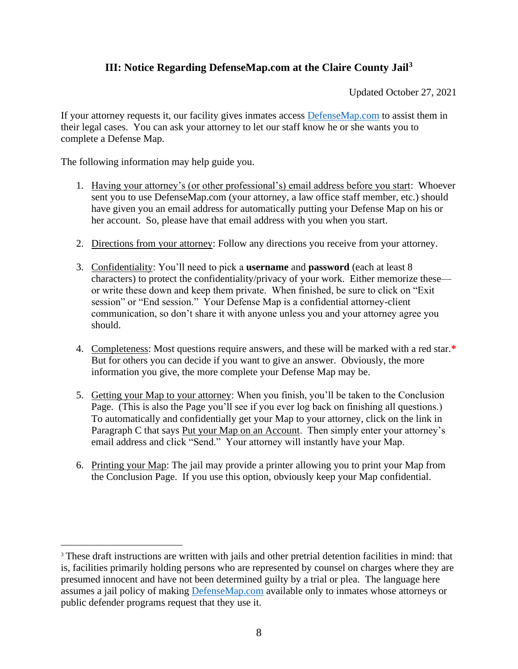## **III: Notice Regarding DefenseMap.com at the Claire County Jail<sup>3</sup>**

Updated October 27, 2021

If your attorney requests it, our facility gives inmates access [DefenseMap.com](http://www.defensemap.com/) to assist them in their legal cases. You can ask your attorney to let our staff know he or she wants you to complete a Defense Map.

The following information may help guide you.

- 1. Having your attorney's (or other professional's) email address before you start: Whoever sent you to use DefenseMap.com (your attorney, a law office staff member, etc.) should have given you an email address for automatically putting your Defense Map on his or her account. So, please have that email address with you when you start.
- 2. Directions from your attorney: Follow any directions you receive from your attorney.
- 3. Confidentiality: You'll need to pick a **username** and **password** (each at least 8 characters) to protect the confidentiality/privacy of your work. Either memorize these or write these down and keep them private. When finished, be sure to click on "Exit session" or "End session." Your Defense Map is a confidential attorney-client communication, so don't share it with anyone unless you and your attorney agree you should.
- 4. Completeness: Most questions require answers, and these will be marked with a red star.**\*** But for others you can decide if you want to give an answer. Obviously, the more information you give, the more complete your Defense Map may be.
- 5. Getting your Map to your attorney: When you finish, you'll be taken to the Conclusion Page. (This is also the Page you'll see if you ever log back on finishing all questions.) To automatically and confidentially get your Map to your attorney, click on the link in Paragraph C that says Put your Map on an Account. Then simply enter your attorney's email address and click "Send." Your attorney will instantly have your Map.
- 6. Printing your Map: The jail may provide a printer allowing you to print your Map from the Conclusion Page. If you use this option, obviously keep your Map confidential.

<sup>&</sup>lt;sup>3</sup> These draft instructions are written with jails and other pretrial detention facilities in mind: that is, facilities primarily holding persons who are represented by counsel on charges where they are presumed innocent and have not been determined guilty by a trial or plea. The language here assumes a jail policy of making [DefenseMap.com](http://www.defensemap.com/) available only to inmates whose attorneys or public defender programs request that they use it.